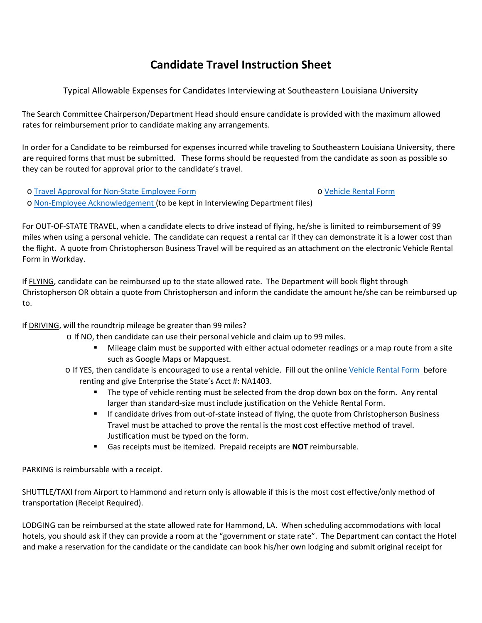## **Candidate Travel Instruction Sheet**

Typical Allowable Expenses for Candidates Interviewing at Southeastern Louisiana University

The Search Committee Chairperson/Department Head should ensure candidate is provided with the maximum allowed rates for reimbursement prior to candidate making any arrangements.

In order for a Candidate to be reimbursed for expenses incurred while traveling to Southeastern Louisiana University, there are required forms that must be submitted. These forms should be requested from the candidate as soon as possible so they can be routed for approval prior to the candidate's travel.

o [Travel Approval for Non‐State Employee Form](http://www.southeastern.edu/admin/controller/facultystaff/travel/Non-State_Employee_Form_012121.pdf)  o [Vehicle Rental Form](http://www.southeastern.edu/admin/controller/facultystaff/travel/assets/Vehicle_Rental_Form_030921_WD.pdf) 

o [Non‐Employee Acknowledgement \(](http://www.southeastern.edu/admin/controller/facultystaff/travel/Nonstateemployeeuseofstatevehicleacknowledgement6-3-16.pdf)to be kept in Interviewing Department files)

For OUT‐OF‐STATE TRAVEL, when a candidate elects to drive instead of flying, he/she is limited to reimbursement of 99 miles when using a personal vehicle. The candidate can request a rental car if they can demonstrate it is a lower cost than the flight. A quote from Christopherson Business Travel will be required as an attachment on the electronic Vehicle Rental Form in Workday.

If FLYING, candidate can be reimbursed up to the state allowed rate. The Department will book flight through Christopherson OR obtain a quote from Christopherson and inform the candidate the amount he/she can be reimbursed up to.

## If DRIVING, will the roundtrip mileage be greater than 99 miles?

o If NO, then candidate can use their personal vehicle and claim up to 99 miles.

- Mileage claim must be supported with either actual odometer readings or a map route from a site such as Google Maps or Mapquest.
- o If YES, then candidate is encouraged to use a rental vehicle. Fill out the online Vehicle Rental Form before renting and give Enterprise the State's Acct #: NA1403.
	- The type of vehicle renting must be selected from the drop down box on the form. Any rental larger than standard‐size must include justification on the Vehicle Rental Form.
	- If candidate drives from out-of-state instead of flying, the quote from Christopherson Business Travel must be attached to prove the rental is the most cost effective method of travel. Justification must be typed on the form.
	- Gas receipts must be itemized. Prepaid receipts are **NOT** reimbursable.

PARKING is reimbursable with a receipt.

SHUTTLE/TAXI from Airport to Hammond and return only is allowable if this is the most cost effective/only method of transportation (Receipt Required).

LODGING can be reimbursed at the state allowed rate for Hammond, LA. When scheduling accommodations with local hotels, you should ask if they can provide a room at the "government or state rate". The Department can contact the Hotel and make a reservation for the candidate or the candidate can book his/her own lodging and submit original receipt for